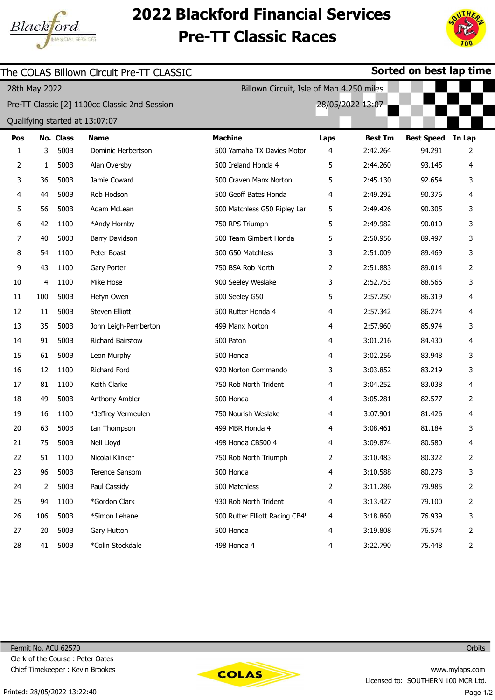

## 2022 Blackford Financial Services Pre-TT Classic Races



|     |               |           | The COLAS Billown Circuit Pre-TT CLASSIC      |                                          | Sorted on best lap time |                  |                   |                |  |  |
|-----|---------------|-----------|-----------------------------------------------|------------------------------------------|-------------------------|------------------|-------------------|----------------|--|--|
|     | 28th May 2022 |           |                                               | Billown Circuit, Isle of Man 4.250 miles |                         |                  |                   |                |  |  |
|     |               |           | Pre-TT Classic [2] 1100cc Classic 2nd Session |                                          |                         | 28/05/2022 13:07 |                   |                |  |  |
|     |               |           | Qualifying started at 13:07:07                |                                          |                         |                  |                   |                |  |  |
| Pos |               | No. Class | <b>Name</b>                                   | <b>Machine</b>                           | <b>Laps</b>             | <b>Best Tm</b>   | <b>Best Speed</b> | In Lap         |  |  |
| 1   | 3             | 500B      | Dominic Herbertson                            | 500 Yamaha TX Davies Motor               | 4                       | 2:42.264         | 94.291            | 2              |  |  |
| 2   | 1             | 500B      | Alan Oversby                                  | 500 Ireland Honda 4                      | 5                       | 2:44.260         | 93.145            | 4              |  |  |
| 3   | 36            | 500B      | Jamie Coward                                  | 500 Craven Manx Norton                   | 5                       | 2:45.130         | 92.654            | 3              |  |  |
| 4   | 44            | 500B      | Rob Hodson                                    | 500 Geoff Bates Honda                    | 4                       | 2:49.292         | 90.376            | 4              |  |  |
| 5   | 56            | 500B      | Adam McLean                                   | 500 Matchless G50 Ripley Lar             | 5                       | 2:49.426         | 90.305            | 3              |  |  |
| 6   | 42            | 1100      | *Andy Hornby                                  | 750 RPS Triumph                          | 5                       | 2:49.982         | 90.010            | 3              |  |  |
| 7   | 40            | 500B      | Barry Davidson                                | 500 Team Gimbert Honda                   | 5                       | 2:50.956         | 89.497            | 3              |  |  |
| 8   | 54            | 1100      | Peter Boast                                   | 500 G50 Matchless                        | 3                       | 2:51.009         | 89.469            | 3              |  |  |
| 9   | 43            | 1100      | Gary Porter                                   | 750 BSA Rob North                        | 2                       | 2:51.883         | 89.014            | $\overline{2}$ |  |  |
| 10  | 4             | 1100      | Mike Hose                                     | 900 Seeley Weslake                       | 3                       | 2:52.753         | 88.566            | 3              |  |  |
| 11  | 100           | 500B      | Hefyn Owen                                    | 500 Seeley G50                           | 5                       | 2:57.250         | 86.319            | 4              |  |  |
| 12  | 11            | 500B      | Steven Elliott                                | 500 Rutter Honda 4                       | 4                       | 2:57.342         | 86.274            | 4              |  |  |
| 13  | 35            | 500B      | John Leigh-Pemberton                          | 499 Manx Norton                          | 4                       | 2:57.960         | 85.974            | 3              |  |  |
| 14  | 91            | 500B      | Richard Bairstow                              | 500 Paton                                | 4                       | 3:01.216         | 84.430            | 4              |  |  |
| 15  | 61            | 500B      | Leon Murphy                                   | 500 Honda                                | 4                       | 3:02.256         | 83.948            | 3              |  |  |
| 16  | 12            | 1100      | Richard Ford                                  | 920 Norton Commando                      | 3                       | 3:03.852         | 83.219            | 3              |  |  |
| 17  | 81            | 1100      | Keith Clarke                                  | 750 Rob North Trident                    | 4                       | 3:04.252         | 83.038            | 4              |  |  |
| 18  | 49            | 500B      | Anthony Ambler                                | 500 Honda                                | 4                       | 3:05.281         | 82.577            | 2              |  |  |
| 19  | 16            | 1100      | *Jeffrey Vermeulen                            | 750 Nourish Weslake                      | 4                       | 3:07.901         | 81.426            | 4              |  |  |
| 20  | 63            | 500B      | Ian Thompson                                  | 499 MBR Honda 4                          | 4                       | 3:08.461         | 81.184            | 3              |  |  |
| 21  | 75            | 500B      | Neil Lloyd                                    | 498 Honda CB500 4                        | 4                       | 3:09.874         | 80.580            | 4              |  |  |
| 22  | 51            | 1100      | Nicolai Klinker                               | 750 Rob North Triumph                    | 2                       | 3:10.483         | 80.322            | 2              |  |  |
| 23  | 96            | 500B      | Terence Sansom                                | 500 Honda                                | 4                       | 3:10.588         | 80.278            | 3              |  |  |
| 24  | 2             | 500B      | Paul Cassidy                                  | 500 Matchless                            | 2                       | 3:11.286         | 79.985            | 2              |  |  |
| 25  | 94            | 1100      | *Gordon Clark                                 | 930 Rob North Trident                    | 4                       | 3:13.427         | 79.100            | 2              |  |  |
| 26  | 106           | 500B      | *Simon Lehane                                 | 500 Rutter Elliott Racing CB4!           | 4                       | 3:18.860         | 76.939            | 3              |  |  |
| 27  | 20            | 500B      | Gary Hutton                                   | 500 Honda                                | 4                       | 3:19.808         | 76.574            | 2              |  |  |
| 28  | 41            | 500B      | *Colin Stockdale                              | 498 Honda 4                              | 4                       | 3:22.790         | 75.448            | 2              |  |  |



**Orbits**